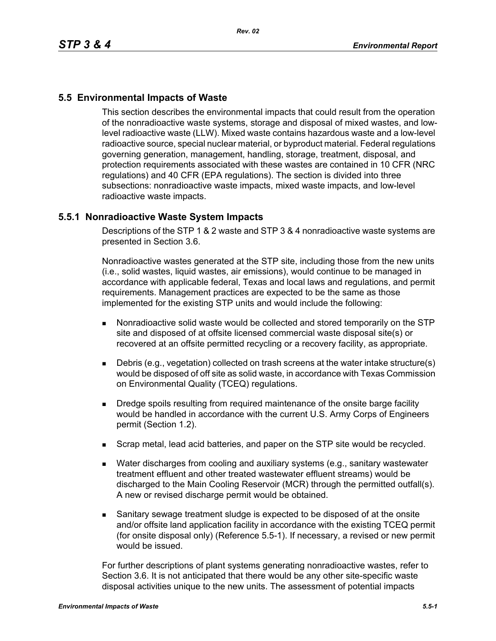## **5.5 Environmental Impacts of Waste**

This section describes the environmental impacts that could result from the operation of the nonradioactive waste systems, storage and disposal of mixed wastes, and lowlevel radioactive waste (LLW). Mixed waste contains hazardous waste and a low-level radioactive source, special nuclear material, or byproduct material. Federal regulations governing generation, management, handling, storage, treatment, disposal, and protection requirements associated with these wastes are contained in 10 CFR (NRC regulations) and 40 CFR (EPA regulations). The section is divided into three subsections: nonradioactive waste impacts, mixed waste impacts, and low-level radioactive waste impacts.

## **5.5.1 Nonradioactive Waste System Impacts**

Descriptions of the STP 1 & 2 waste and STP 3 & 4 nonradioactive waste systems are presented in Section 3.6.

Nonradioactive wastes generated at the STP site, including those from the new units (i.e., solid wastes, liquid wastes, air emissions), would continue to be managed in accordance with applicable federal, Texas and local laws and regulations, and permit requirements. Management practices are expected to be the same as those implemented for the existing STP units and would include the following:

- Nonradioactive solid waste would be collected and stored temporarily on the STP site and disposed of at offsite licensed commercial waste disposal site(s) or recovered at an offsite permitted recycling or a recovery facility, as appropriate.
- Debris (e.g., vegetation) collected on trash screens at the water intake structure(s) would be disposed of off site as solid waste, in accordance with Texas Commission on Environmental Quality (TCEQ) regulations.
- **Dredge spoils resulting from required maintenance of the onsite barge facility** would be handled in accordance with the current U.S. Army Corps of Engineers permit (Section 1.2).
- Scrap metal, lead acid batteries, and paper on the STP site would be recycled.
- Water discharges from cooling and auxiliary systems (e.g., sanitary wastewater treatment effluent and other treated wastewater effluent streams) would be discharged to the Main Cooling Reservoir (MCR) through the permitted outfall(s). A new or revised discharge permit would be obtained.
- Sanitary sewage treatment sludge is expected to be disposed of at the onsite and/or offsite land application facility in accordance with the existing TCEQ permit (for onsite disposal only) (Reference 5.5-1). If necessary, a revised or new permit would be issued.

For further descriptions of plant systems generating nonradioactive wastes, refer to Section 3.6. It is not anticipated that there would be any other site-specific waste disposal activities unique to the new units. The assessment of potential impacts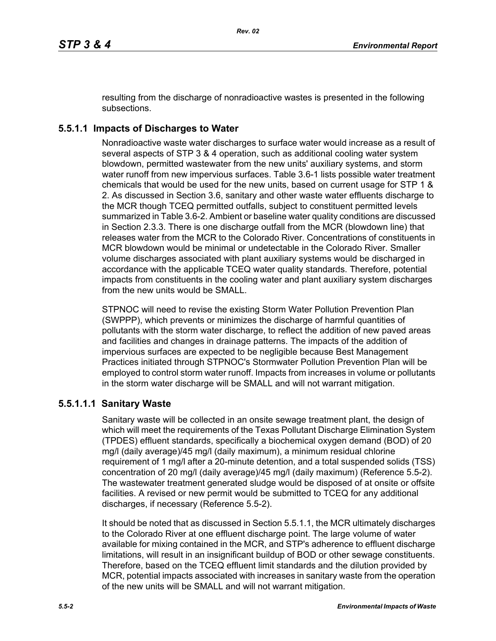resulting from the discharge of nonradioactive wastes is presented in the following subsections.

# **5.5.1.1 Impacts of Discharges to Water**

Nonradioactive waste water discharges to surface water would increase as a result of several aspects of STP 3 & 4 operation, such as additional cooling water system blowdown, permitted wastewater from the new units' auxiliary systems, and storm water runoff from new impervious surfaces. Table 3.6-1 lists possible water treatment chemicals that would be used for the new units, based on current usage for STP 1 & 2. As discussed in Section 3.6, sanitary and other waste water effluents discharge to the MCR though TCEQ permitted outfalls, subject to constituent permitted levels summarized in Table 3.6-2. Ambient or baseline water quality conditions are discussed in Section 2.3.3. There is one discharge outfall from the MCR (blowdown line) that releases water from the MCR to the Colorado River. Concentrations of constituents in MCR blowdown would be minimal or undetectable in the Colorado River. Smaller volume discharges associated with plant auxiliary systems would be discharged in accordance with the applicable TCEQ water quality standards. Therefore, potential impacts from constituents in the cooling water and plant auxiliary system discharges from the new units would be SMALL.

STPNOC will need to revise the existing Storm Water Pollution Prevention Plan (SWPPP), which prevents or minimizes the discharge of harmful quantities of pollutants with the storm water discharge, to reflect the addition of new paved areas and facilities and changes in drainage patterns. The impacts of the addition of impervious surfaces are expected to be negligible because Best Management Practices initiated through STPNOC's Stormwater Pollution Prevention Plan will be employed to control storm water runoff. Impacts from increases in volume or pollutants in the storm water discharge will be SMALL and will not warrant mitigation.

## **5.5.1.1.1 Sanitary Waste**

Sanitary waste will be collected in an onsite sewage treatment plant, the design of which will meet the requirements of the Texas Pollutant Discharge Elimination System (TPDES) effluent standards, specifically a biochemical oxygen demand (BOD) of 20 mg/l (daily average)/45 mg/l (daily maximum), a minimum residual chlorine requirement of 1 mg/l after a 20-minute detention, and a total suspended solids (TSS) concentration of 20 mg/l (daily average)/45 mg/l (daily maximum) (Reference 5.5-2). The wastewater treatment generated sludge would be disposed of at onsite or offsite facilities. A revised or new permit would be submitted to TCEQ for any additional discharges, if necessary (Reference 5.5-2).

It should be noted that as discussed in Section 5.5.1.1, the MCR ultimately discharges to the Colorado River at one effluent discharge point. The large volume of water available for mixing contained in the MCR, and STP's adherence to effluent discharge limitations, will result in an insignificant buildup of BOD or other sewage constituents. Therefore, based on the TCEQ effluent limit standards and the dilution provided by MCR, potential impacts associated with increases in sanitary waste from the operation of the new units will be SMALL and will not warrant mitigation.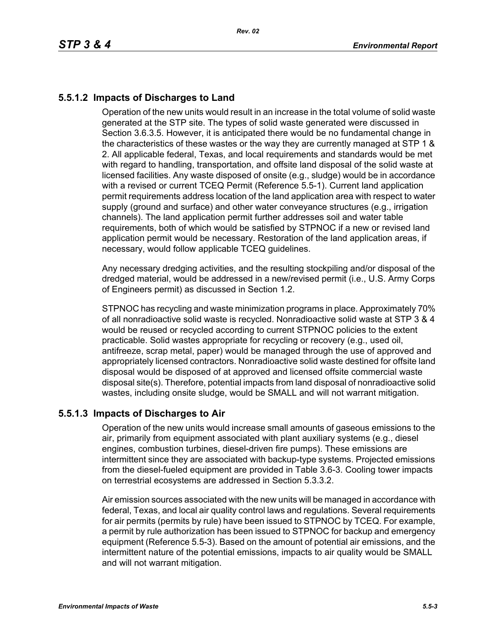# **5.5.1.2 Impacts of Discharges to Land**

Operation of the new units would result in an increase in the total volume of solid waste generated at the STP site. The types of solid waste generated were discussed in Section 3.6.3.5. However, it is anticipated there would be no fundamental change in the characteristics of these wastes or the way they are currently managed at STP 1 & 2. All applicable federal, Texas, and local requirements and standards would be met with regard to handling, transportation, and offsite land disposal of the solid waste at licensed facilities. Any waste disposed of onsite (e.g., sludge) would be in accordance with a revised or current TCEQ Permit (Reference 5.5-1). Current land application permit requirements address location of the land application area with respect to water supply (ground and surface) and other water conveyance structures (e.g., irrigation channels). The land application permit further addresses soil and water table requirements, both of which would be satisfied by STPNOC if a new or revised land application permit would be necessary. Restoration of the land application areas, if necessary, would follow applicable TCEQ guidelines.

Any necessary dredging activities, and the resulting stockpiling and/or disposal of the dredged material, would be addressed in a new/revised permit (i.e., U.S. Army Corps of Engineers permit) as discussed in Section 1.2.

STPNOC has recycling and waste minimization programs in place. Approximately 70% of all nonradioactive solid waste is recycled. Nonradioactive solid waste at STP 3 & 4 would be reused or recycled according to current STPNOC policies to the extent practicable. Solid wastes appropriate for recycling or recovery (e.g., used oil, antifreeze, scrap metal, paper) would be managed through the use of approved and appropriately licensed contractors. Nonradioactive solid waste destined for offsite land disposal would be disposed of at approved and licensed offsite commercial waste disposal site(s). Therefore, potential impacts from land disposal of nonradioactive solid wastes, including onsite sludge, would be SMALL and will not warrant mitigation.

## **5.5.1.3 Impacts of Discharges to Air**

Operation of the new units would increase small amounts of gaseous emissions to the air, primarily from equipment associated with plant auxiliary systems (e.g., diesel engines, combustion turbines, diesel-driven fire pumps). These emissions are intermittent since they are associated with backup-type systems. Projected emissions from the diesel-fueled equipment are provided in Table 3.6-3. Cooling tower impacts on terrestrial ecosystems are addressed in Section 5.3.3.2.

Air emission sources associated with the new units will be managed in accordance with federal, Texas, and local air quality control laws and regulations. Several requirements for air permits (permits by rule) have been issued to STPNOC by TCEQ. For example, a permit by rule authorization has been issued to STPNOC for backup and emergency equipment (Reference 5.5-3). Based on the amount of potential air emissions, and the intermittent nature of the potential emissions, impacts to air quality would be SMALL and will not warrant mitigation.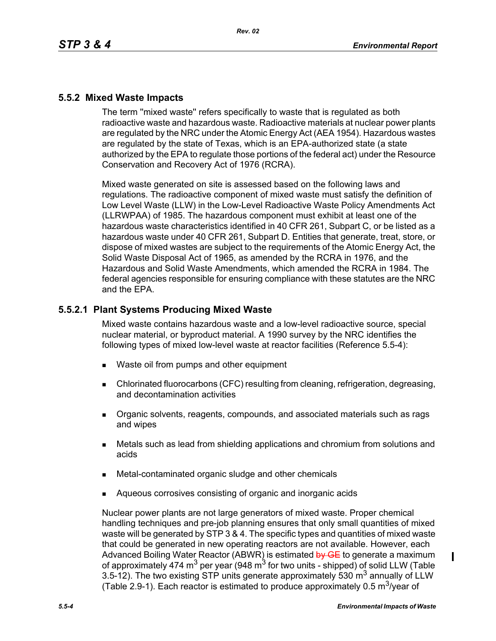## **5.5.2 Mixed Waste Impacts**

The term ''mixed waste'' refers specifically to waste that is regulated as both radioactive waste and hazardous waste. Radioactive materials at nuclear power plants are regulated by the NRC under the Atomic Energy Act (AEA 1954). Hazardous wastes are regulated by the state of Texas, which is an EPA-authorized state (a state authorized by the EPA to regulate those portions of the federal act) under the Resource Conservation and Recovery Act of 1976 (RCRA).

Mixed waste generated on site is assessed based on the following laws and regulations. The radioactive component of mixed waste must satisfy the definition of Low Level Waste (LLW) in the Low-Level Radioactive Waste Policy Amendments Act (LLRWPAA) of 1985. The hazardous component must exhibit at least one of the hazardous waste characteristics identified in 40 CFR 261, Subpart C, or be listed as a hazardous waste under 40 CFR 261, Subpart D. Entities that generate, treat, store, or dispose of mixed wastes are subject to the requirements of the Atomic Energy Act, the Solid Waste Disposal Act of 1965, as amended by the RCRA in 1976, and the Hazardous and Solid Waste Amendments, which amended the RCRA in 1984. The federal agencies responsible for ensuring compliance with these statutes are the NRC and the EPA.

## **5.5.2.1 Plant Systems Producing Mixed Waste**

Mixed waste contains hazardous waste and a low-level radioactive source, special nuclear material, or byproduct material. A 1990 survey by the NRC identifies the following types of mixed low-level waste at reactor facilities (Reference 5.5-4):

- **Naste oil from pumps and other equipment**
- Chlorinated fluorocarbons (CFC) resulting from cleaning, refrigeration, degreasing, and decontamination activities
- **Dreamic solvents, reagents, compounds, and associated materials such as rags** and wipes
- Metals such as lead from shielding applications and chromium from solutions and acids
- Metal-contaminated organic sludge and other chemicals
- Aqueous corrosives consisting of organic and inorganic acids

Nuclear power plants are not large generators of mixed waste. Proper chemical handling techniques and pre-job planning ensures that only small quantities of mixed waste will be generated by STP 3 & 4. The specific types and quantities of mixed waste that could be generated in new operating reactors are not available. However, each Advanced Boiling Water Reactor (ABWR) is estimated by GE to generate a maximum of approximately 474 m<sup>3</sup> per year (948 m<sup>3</sup> for two units - shipped) of solid LLW (Table 3.5-12). The two existing STP units generate approximately 530  $m<sup>3</sup>$  annually of LLW (Table 2.9-1). Each reactor is estimated to produce approximately 0.5  $\mathrm{m}^3$ /year of

 $\blacksquare$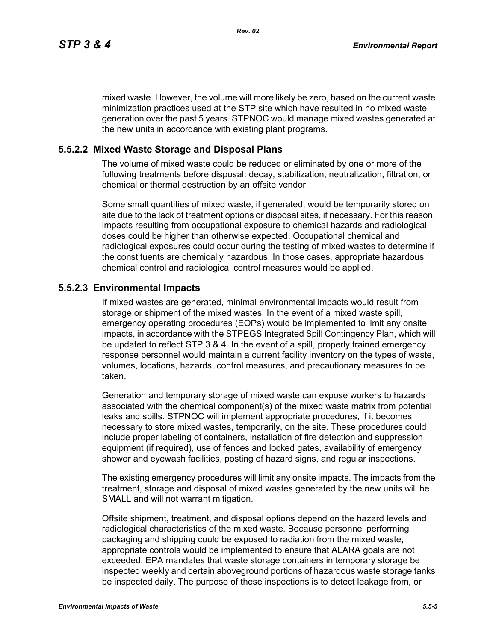mixed waste. However, the volume will more likely be zero, based on the current waste minimization practices used at the STP site which have resulted in no mixed waste generation over the past 5 years. STPNOC would manage mixed wastes generated at the new units in accordance with existing plant programs.

#### **5.5.2.2 Mixed Waste Storage and Disposal Plans**

The volume of mixed waste could be reduced or eliminated by one or more of the following treatments before disposal: decay, stabilization, neutralization, filtration, or chemical or thermal destruction by an offsite vendor.

Some small quantities of mixed waste, if generated, would be temporarily stored on site due to the lack of treatment options or disposal sites, if necessary. For this reason, impacts resulting from occupational exposure to chemical hazards and radiological doses could be higher than otherwise expected. Occupational chemical and radiological exposures could occur during the testing of mixed wastes to determine if the constituents are chemically hazardous. In those cases, appropriate hazardous chemical control and radiological control measures would be applied.

#### **5.5.2.3 Environmental Impacts**

If mixed wastes are generated, minimal environmental impacts would result from storage or shipment of the mixed wastes. In the event of a mixed waste spill, emergency operating procedures (EOPs) would be implemented to limit any onsite impacts, in accordance with the STPEGS Integrated Spill Contingency Plan, which will be updated to reflect STP 3 & 4. In the event of a spill, properly trained emergency response personnel would maintain a current facility inventory on the types of waste, volumes, locations, hazards, control measures, and precautionary measures to be taken.

Generation and temporary storage of mixed waste can expose workers to hazards associated with the chemical component(s) of the mixed waste matrix from potential leaks and spills. STPNOC will implement appropriate procedures, if it becomes necessary to store mixed wastes, temporarily, on the site. These procedures could include proper labeling of containers, installation of fire detection and suppression equipment (if required), use of fences and locked gates, availability of emergency shower and eyewash facilities, posting of hazard signs, and regular inspections.

The existing emergency procedures will limit any onsite impacts. The impacts from the treatment, storage and disposal of mixed wastes generated by the new units will be SMALL and will not warrant mitigation.

Offsite shipment, treatment, and disposal options depend on the hazard levels and radiological characteristics of the mixed waste. Because personnel performing packaging and shipping could be exposed to radiation from the mixed waste, appropriate controls would be implemented to ensure that ALARA goals are not exceeded. EPA mandates that waste storage containers in temporary storage be inspected weekly and certain aboveground portions of hazardous waste storage tanks be inspected daily. The purpose of these inspections is to detect leakage from, or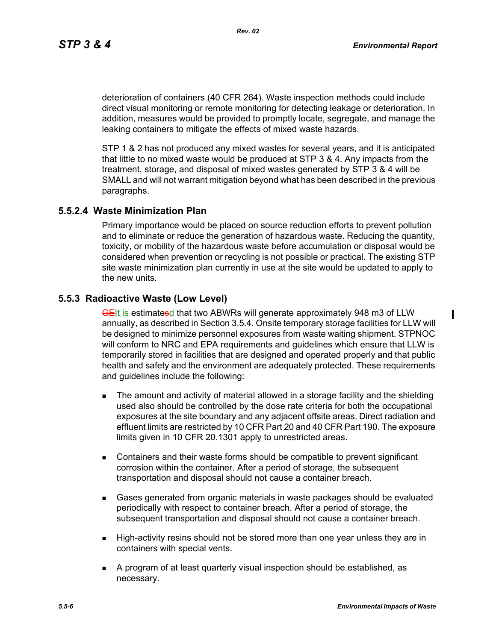deterioration of containers (40 CFR 264). Waste inspection methods could include direct visual monitoring or remote monitoring for detecting leakage or deterioration. In addition, measures would be provided to promptly locate, segregate, and manage the leaking containers to mitigate the effects of mixed waste hazards.

STP 1 & 2 has not produced any mixed wastes for several years, and it is anticipated that little to no mixed waste would be produced at STP 3 & 4. Any impacts from the treatment, storage, and disposal of mixed wastes generated by STP 3 & 4 will be SMALL and will not warrant mitigation beyond what has been described in the previous paragraphs.

#### **5.5.2.4 Waste Minimization Plan**

Primary importance would be placed on source reduction efforts to prevent pollution and to eliminate or reduce the generation of hazardous waste. Reducing the quantity, toxicity, or mobility of the hazardous waste before accumulation or disposal would be considered when prevention or recycling is not possible or practical. The existing STP site waste minimization plan currently in use at the site would be updated to apply to the new units.

#### **5.5.3 Radioactive Waste (Low Level)**

GEIt is estimatesd that two ABWRs will generate approximately 948 m3 of LLW annually, as described in Section 3.5.4. Onsite temporary storage facilities for LLW will be designed to minimize personnel exposures from waste waiting shipment. STPNOC will conform to NRC and EPA requirements and guidelines which ensure that LLW is temporarily stored in facilities that are designed and operated properly and that public health and safety and the environment are adequately protected. These requirements and guidelines include the following:

- **The amount and activity of material allowed in a storage facility and the shielding** used also should be controlled by the dose rate criteria for both the occupational exposures at the site boundary and any adjacent offsite areas. Direct radiation and effluent limits are restricted by 10 CFR Part 20 and 40 CFR Part 190. The exposure limits given in 10 CFR 20.1301 apply to unrestricted areas.
- Containers and their waste forms should be compatible to prevent significant corrosion within the container. After a period of storage, the subsequent transportation and disposal should not cause a container breach.
- Gases generated from organic materials in waste packages should be evaluated periodically with respect to container breach. After a period of storage, the subsequent transportation and disposal should not cause a container breach.
- **High-activity resins should not be stored more than one year unless they are in** containers with special vents.
- A program of at least quarterly visual inspection should be established, as necessary.